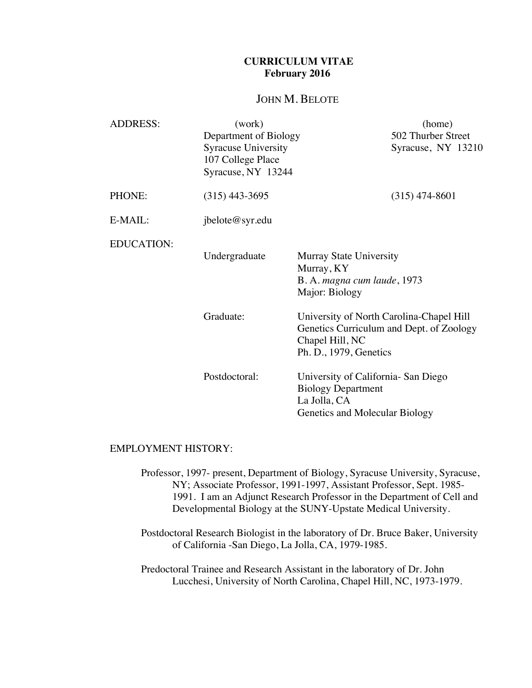# **CURRICULUM VITAE February 2016**

# JOHN M. BELOTE

| <b>ADDRESS:</b>   | (work)                                                                                         | (home)                                                                                                                            |
|-------------------|------------------------------------------------------------------------------------------------|-----------------------------------------------------------------------------------------------------------------------------------|
|                   | Department of Biology<br><b>Syracuse University</b><br>107 College Place<br>Syracuse, NY 13244 | 502 Thurber Street<br>Syracuse, NY 13210                                                                                          |
|                   |                                                                                                |                                                                                                                                   |
| PHONE:            | $(315)$ 443-3695                                                                               | $(315)$ 474-8601                                                                                                                  |
| E-MAIL:           | jbelote@syr.edu                                                                                |                                                                                                                                   |
| <b>EDUCATION:</b> | Undergraduate                                                                                  | <b>Murray State University</b><br>Murray, KY<br>B. A. magna cum laude, 1973<br>Major: Biology                                     |
|                   | Graduate:                                                                                      | University of North Carolina-Chapel Hill<br>Genetics Curriculum and Dept. of Zoology<br>Chapel Hill, NC<br>Ph. D., 1979, Genetics |
|                   | Postdoctoral:                                                                                  | University of California- San Diego<br><b>Biology Department</b><br>La Jolla, CA<br>Genetics and Molecular Biology                |

### EMPLOYMENT HISTORY:

- Professor, 1997- present, Department of Biology, Syracuse University, Syracuse, NY; Associate Professor, 1991-1997, Assistant Professor, Sept. 1985- 1991. I am an Adjunct Research Professor in the Department of Cell and Developmental Biology at the SUNY-Upstate Medical University.
- Postdoctoral Research Biologist in the laboratory of Dr. Bruce Baker, University of California -San Diego, La Jolla, CA, 1979-1985.
- Predoctoral Trainee and Research Assistant in the laboratory of Dr. John Lucchesi, University of North Carolina, Chapel Hill, NC, 1973-1979.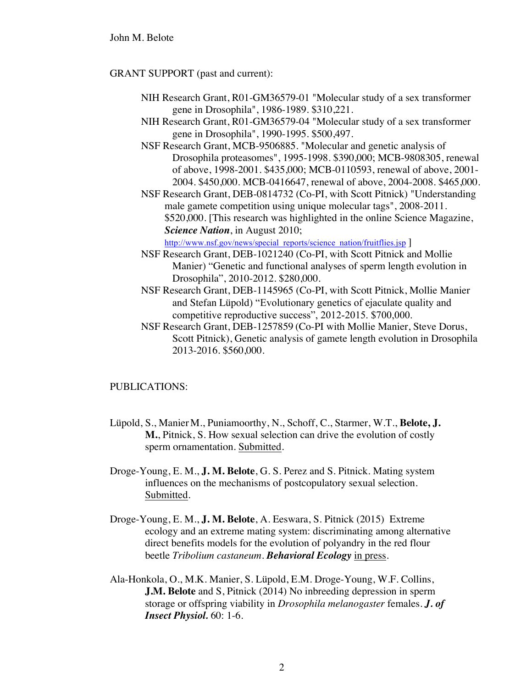### GRANT SUPPORT (past and current):

- NIH Research Grant, R01-GM36579-01 "Molecular study of a sex transformer gene in Drosophila", 1986-1989. \$310,221.
- NIH Research Grant, R01-GM36579-04 "Molecular study of a sex transformer gene in Drosophila", 1990-1995. \$500,497.
- NSF Research Grant, MCB-9506885. "Molecular and genetic analysis of Drosophila proteasomes", 1995-1998. \$390,000; MCB-9808305, renewal of above, 1998-2001. \$435,000; MCB-0110593, renewal of above, 2001- 2004. \$450,000. MCB-0416647, renewal of above, 2004-2008. \$465,000.
- NSF Research Grant, DEB-0814732 (Co-PI, with Scott Pitnick) "Understanding male gamete competition using unique molecular tags", 2008-2011. \$520,000. [This research was highlighted in the online Science Magazine, *Science Nation*, in August 2010;

http://www.nsf.gov/news/special\_reports/science\_nation/fruitflies.jsp ]

- NSF Research Grant, DEB-1021240 (Co-PI, with Scott Pitnick and Mollie Manier) "Genetic and functional analyses of sperm length evolution in Drosophila", 2010-2012. \$280,000.
- NSF Research Grant, DEB-1145965 (Co-PI, with Scott Pitnick, Mollie Manier and Stefan Lüpold) "Evolutionary genetics of ejaculate quality and competitive reproductive success", 2012-2015. \$700,000.
- NSF Research Grant, DEB-1257859 (Co-PI with Mollie Manier, Steve Dorus, Scott Pitnick), Genetic analysis of gamete length evolution in Drosophila 2013-2016. \$560,000.

## PUBLICATIONS:

- Lüpold, S., ManierM., Puniamoorthy, N., Schoff, C., Starmer, W.T., **Belote, J. M.**, Pitnick, S. How sexual selection can drive the evolution of costly sperm ornamentation. Submitted.
- Droge-Young, E. M., **J. M. Belote**, G. S. Perez and S. Pitnick. Mating system influences on the mechanisms of postcopulatory sexual selection. Submitted.
- Droge-Young, E. M., **J. M. Belote**, A. Eeswara, S. Pitnick (2015) Extreme ecology and an extreme mating system: discriminating among alternative direct benefits models for the evolution of polyandry in the red flour beetle *Tribolium castaneum*. *Behavioral Ecology* in press.
- Ala-Honkola, O., M.K. Manier, S. Lüpold, E.M. Droge-Young, W.F. Collins, **J.M. Belote** and S, Pitnick (2014) No inbreeding depression in sperm storage or offspring viability in *Drosophila melanogaster* females. *J. of Insect Physiol.* 60: 1-6.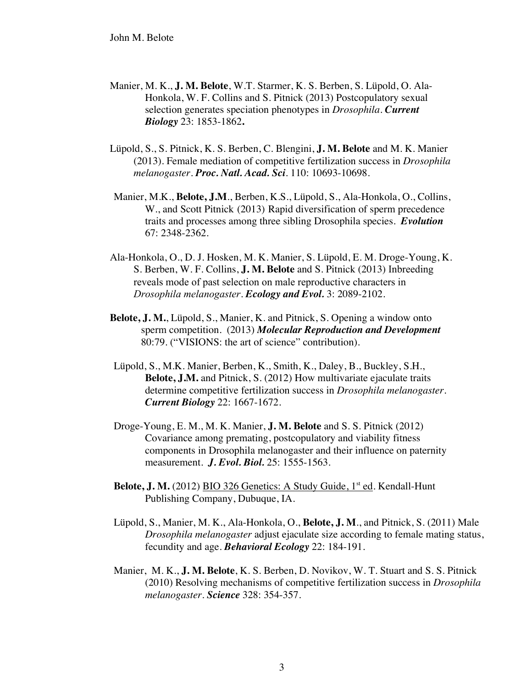- Manier, M. K., **J. M. Belote**, W.T. Starmer, K. S. Berben, S. Lüpold, O. Ala-Honkola, W. F. Collins and S. Pitnick (2013) Postcopulatory sexual selection generates speciation phenotypes in *Drosophila*. *Current Biology* 23: 1853-1862**.**
- Lüpold, S., S. Pitnick, K. S. Berben, C. Blengini, **J. M. Belote** and M. K. Manier (2013). Female mediation of competitive fertilization success in *Drosophila melanogaster*. *Proc. Natl. Acad. Sci*. 110: 10693-10698.
- Manier, M.K., **Belote, J.M**., Berben, K.S., Lüpold, S., Ala-Honkola, O., Collins, W., and Scott Pitnick (2013) Rapid diversification of sperm precedence traits and processes among three sibling Drosophila species. *Evolution* 67: 2348-2362.
- Ala-Honkola, O., D. J. Hosken, M. K. Manier, S. Lüpold, E. M. Droge-Young, K. S. Berben, W. F. Collins, **J. M. Belote** and S. Pitnick (2013) Inbreeding reveals mode of past selection on male reproductive characters in *Drosophila melanogaster*. *Ecology and Evol.* 3: 2089-2102.
- **Belote, J. M.**, Lüpold, S., Manier, K. and Pitnick, S. Opening a window onto sperm competition. (2013) *Molecular Reproduction and Development* 80:79. ("VISIONS: the art of science" contribution).
- Lüpold, S., M.K. Manier, Berben, K., Smith, K., Daley, B., Buckley, S.H., **Belote, J.M.** and Pitnick, S. (2012) How multivariate ejaculate traits determine competitive fertilization success in *Drosophila melanogaster*. *Current Biology* 22: 1667-1672.
- Droge-Young, E. M., M. K. Manier, **J. M. Belote** and S. S. Pitnick (2012) Covariance among premating, postcopulatory and viability fitness components in Drosophila melanogaster and their influence on paternity measurement. *J. Evol. Biol.* 25: 1555-1563.
- **Belote, J. M.** (2012) BIO 326 Genetics: A Study Guide, 1<sup>st</sup> ed. Kendall-Hunt Publishing Company, Dubuque, IA.
- Lüpold, S., Manier, M. K., Ala-Honkola, O., **Belote, J. M**., and Pitnick, S. (2011) Male *Drosophila melanogaster* adjust ejaculate size according to female mating status, fecundity and age. *Behavioral Ecology* 22: 184-191.
- Manier, M. K., **J. M. Belote**, K. S. Berben, D. Novikov, W. T. Stuart and S. S. Pitnick (2010) Resolving mechanisms of competitive fertilization success in *Drosophila melanogaster*. *Science* 328: 354-357.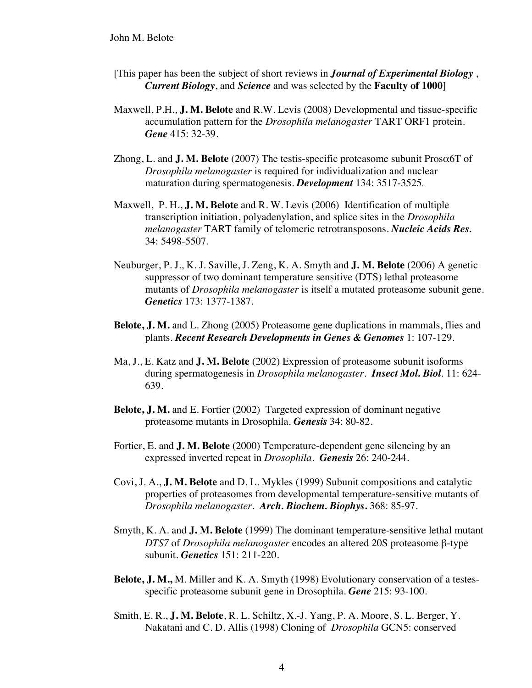- [This paper has been the subject of short reviews in *Journal of Experimental Biology* , *Current Biology*, and *Science* and was selected by the **Faculty of 1000**]
- Maxwell, P.H., **J. M. Belote** and R.W. Levis (2008) Developmental and tissue-specific accumulation pattern for the *Drosophila melanogaster* TART ORF1 protein. *Gene* 415: 32-39.
- Zhong, L. and **J. M. Belote** (2007) The testis-specific proteasome subunit Prosα6T of *Drosophila melanogaster* is required for individualization and nuclear maturation during spermatogenesis. *Development* 134: 3517-3525.
- Maxwell, P. H., **J. M. Belote** and R. W. Levis (2006) Identification of multiple transcription initiation, polyadenylation, and splice sites in the *Drosophila melanogaster* TART family of telomeric retrotransposons. *Nucleic Acids Res.* 34: 5498-5507.
- Neuburger, P. J., K. J. Saville, J. Zeng, K. A. Smyth and **J. M. Belote** (2006) A genetic suppressor of two dominant temperature sensitive (DTS) lethal proteasome mutants of *Drosophila melanogaster* is itself a mutated proteasome subunit gene. *Genetics* 173: 1377-1387.
- **Belote, J. M.** and L. Zhong (2005) Proteasome gene duplications in mammals, flies and plants. *Recent Research Developments in Genes & Genomes* 1: 107-129.
- Ma, J., E. Katz and **J. M. Belote** (2002) Expression of proteasome subunit isoforms during spermatogenesis in *Drosophila melanogaster*. *Insect Mol. Biol*. 11: 624- 639.
- **Belote, J. M.** and E. Fortier (2002) Targeted expression of dominant negative proteasome mutants in Drosophila. *Genesis* 34: 80-82.
- Fortier, E. and **J. M. Belote** (2000) Temperature-dependent gene silencing by an expressed inverted repeat in *Drosophila*. *Genesis* 26: 240-244.
- Covi, J. A., **J. M. Belote** and D. L. Mykles (1999) Subunit compositions and catalytic properties of proteasomes from developmental temperature-sensitive mutants of *Drosophila melanogaster*. *Arch. Biochem. Biophys***.** 368: 85-97.
- Smyth, K. A. and **J. M. Belote** (1999) The dominant temperature-sensitive lethal mutant *DTS7* of *Drosophila melanogaster* encodes an altered 20S proteasome β-type subunit. *Genetics* 151: 211-220.
- **Belote, J. M.,** M. Miller and K. A. Smyth (1998) Evolutionary conservation of a testesspecific proteasome subunit gene in Drosophila. *Gene* 215: 93-100.
- Smith, E. R., **J. M. Belote**, R. L. Schiltz, X.-J. Yang, P. A. Moore, S. L. Berger, Y. Nakatani and C. D. Allis (1998) Cloning of *Drosophila* GCN5: conserved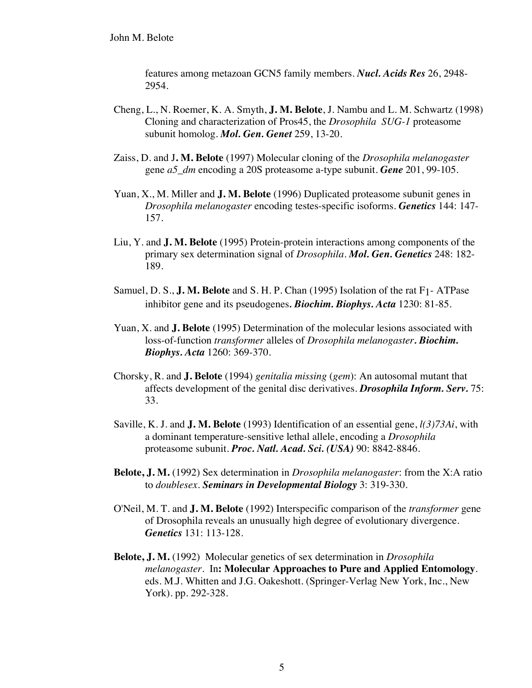features among metazoan GCN5 family members. *Nucl. Acids Res* 26, 2948- 2954.

- Cheng, L., N. Roemer, K. A. Smyth, **J. M. Belote**, J. Nambu and L. M. Schwartz (1998) Cloning and characterization of Pros45, the *Drosophila SUG-1* proteasome subunit homolog. *Mol. Gen. Genet* 259, 13-20.
- Zaiss, D. and J**. M. Belote** (1997) Molecular cloning of the *Drosophila melanogaster* gene *a5\_dm* encoding a 20S proteasome a-type subunit. *Gene* 201, 99-105.
- Yuan, X., M. Miller and **J. M. Belote** (1996) Duplicated proteasome subunit genes in *Drosophila melanogaster* encoding testes-specific isoforms. *Genetics* 144: 147- 157.
- Liu, Y. and **J. M. Belote** (1995) Protein-protein interactions among components of the primary sex determination signal of *Drosophila*. *Mol. Gen. Genetics* 248: 182- 189.
- Samuel, D. S., **J. M. Belote** and S. H. P. Chan (1995) Isolation of the rat F1- ATPase inhibitor gene and its pseudogenes*. Biochim. Biophys. Acta* 1230: 81-85.
- Yuan, X. and **J. Belote** (1995) Determination of the molecular lesions associated with loss-of-function *transformer* alleles of *Drosophila melanogaster. Biochim. Biophys. Acta* 1260: 369-370.
- Chorsky, R. and **J. Belote** (1994) *genitalia missing* (*gem*): An autosomal mutant that affects development of the genital disc derivatives. *Drosophila Inform. Serv.* 75: 33.
- Saville, K. J. and **J. M. Belote** (1993) Identification of an essential gene, *l(3)73Ai*, with a dominant temperature-sensitive lethal allele, encoding a *Drosophila* proteasome subunit. *Proc. Natl. Acad. Sci. (USA)* 90: 8842-8846.
- **Belote, J. M.** (1992) Sex determination in *Drosophila melanogaster*: from the X:A ratio to *doublesex*. *Seminars in Developmental Biology* 3: 319-330.
- O'Neil, M. T. and **J. M. Belote** (1992) Interspecific comparison of the *transformer* gene of Drosophila reveals an unusually high degree of evolutionary divergence. *Genetics* 131: 113-128.
- **Belote, J. M.** (1992) Molecular genetics of sex determination in *Drosophila melanogaster*. In**: Molecular Approaches to Pure and Applied Entomology**. eds. M.J. Whitten and J.G. Oakeshott. (Springer-Verlag New York, Inc., New York). pp. 292-328.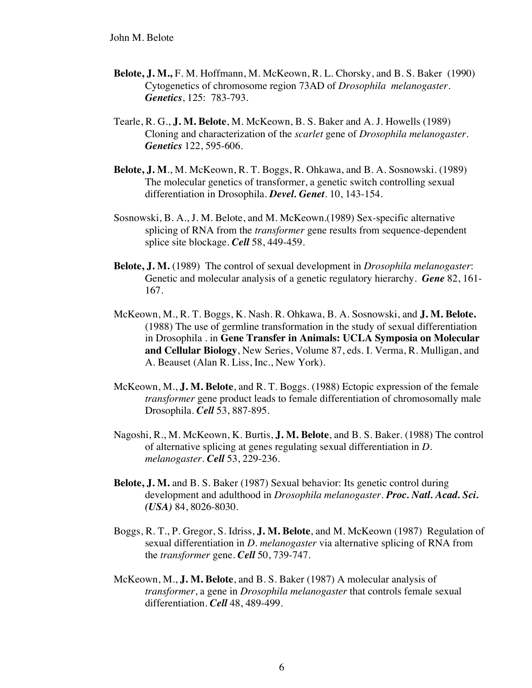- **Belote, J. M.,** F. M. Hoffmann, M. McKeown, R. L. Chorsky, and B. S. Baker (1990) Cytogenetics of chromosome region 73AD of *Drosophila melanogaster*. *Genetics*, 125: 783-793.
- Tearle, R. G., **J. M. Belote**, M. McKeown, B. S. Baker and A. J. Howells (1989) Cloning and characterization of the *scarlet* gene of *Drosophila melanogaster*. *Genetics* 122, 595-606.
- **Belote, J. M**., M. McKeown, R. T. Boggs, R. Ohkawa, and B. A. Sosnowski. (1989) The molecular genetics of transformer, a genetic switch controlling sexual differentiation in Drosophila. *Devel. Genet*. 10, 143-154.
- Sosnowski, B. A., J. M. Belote, and M. McKeown.(1989) Sex-specific alternative splicing of RNA from the *transformer* gene results from sequence-dependent splice site blockage. *Cell* 58, 449-459.
- **Belote, J. M.** (1989) The control of sexual development in *Drosophila melanogaster*: Genetic and molecular analysis of a genetic regulatory hierarchy. *Gene* 82, 161- 167.
- McKeown, M., R. T. Boggs, K. Nash. R. Ohkawa, B. A. Sosnowski, and **J. M. Belote.** (1988) The use of germline transformation in the study of sexual differentiation in Drosophila . in **Gene Transfer in Animals: UCLA Symposia on Molecular and Cellular Biology**, New Series, Volume 87, eds. I. Verma, R. Mulligan, and A. Beauset (Alan R. Liss, Inc., New York).
- McKeown, M., **J. M. Belote**, and R. T. Boggs. (1988) Ectopic expression of the female *transformer* gene product leads to female differentiation of chromosomally male Drosophila. *Cell* 53, 887-895.
- Nagoshi, R., M. McKeown, K. Burtis, **J. M. Belote**, and B. S. Baker. (1988) The control of alternative splicing at genes regulating sexual differentiation in *D. melanogaster*. *Cell* 53, 229-236.
- **Belote, J. M.** and B. S. Baker (1987) Sexual behavior: Its genetic control during development and adulthood in *Drosophila melanogaster*. *Proc. Natl. Acad. Sci. (USA)* 84, 8026-8030.
- Boggs, R. T., P. Gregor, S. Idriss, **J. M. Belote**, and M. McKeown (1987) Regulation of sexual differentiation in *D. melanogaster* via alternative splicing of RNA from the *transformer* gene. *Cell* 50, 739-747.
- McKeown, M., **J. M. Belote**, and B. S. Baker (1987) A molecular analysis of *transformer*, a gene in *Drosophila melanogaster* that controls female sexual differentiation. *Cell* 48, 489-499.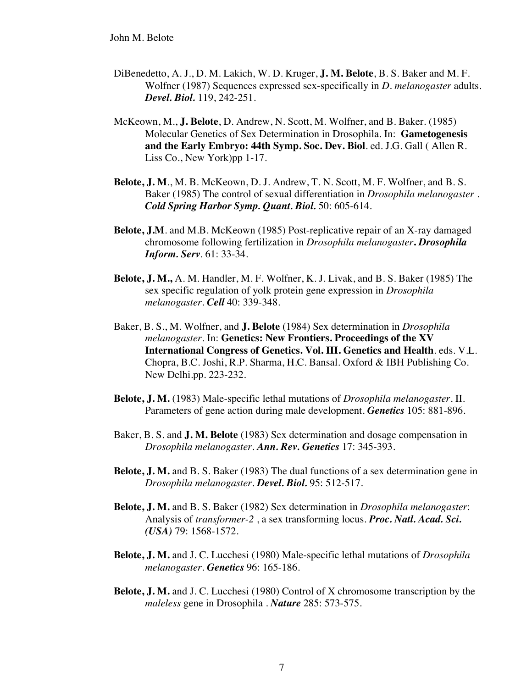- DiBenedetto, A. J., D. M. Lakich, W. D. Kruger, **J. M. Belote**, B. S. Baker and M. F. Wolfner (1987) Sequences expressed sex-specifically in *D. melanogaster* adults. *Devel. Biol.* 119, 242-251.
- McKeown, M., **J. Belote**, D. Andrew, N. Scott, M. Wolfner, and B. Baker. (1985) Molecular Genetics of Sex Determination in Drosophila. In: **Gametogenesis and the Early Embryo: 44th Symp. Soc. Dev. Biol**. ed. J.G. Gall ( Allen R. Liss Co., New York)pp 1-17.
- **Belote, J. M**., M. B. McKeown, D. J. Andrew, T. N. Scott, M. F. Wolfner, and B. S. Baker (1985) The control of sexual differentiation in *Drosophila melanogaster* . *Cold Spring Harbor Symp. Quant. Biol.* 50: 605-614.
- **Belote, J.M**. and M.B. McKeown (1985) Post-replicative repair of an X-ray damaged chromosome following fertilization in *Drosophila melanogaster***.** *Drosophila Inform. Serv*. 61: 33-34.
- **Belote, J. M.,** A. M. Handler, M. F. Wolfner, K. J. Livak, and B. S. Baker (1985) The sex specific regulation of yolk protein gene expression in *Drosophila melanogaster*. *Cell* 40: 339-348.
- Baker, B. S., M. Wolfner, and **J. Belote** (1984) Sex determination in *Drosophila melanogaster*. In: **Genetics: New Frontiers. Proceedings of the XV International Congress of Genetics. Vol. III. Genetics and Health**. eds. V.L. Chopra, B.C. Joshi, R.P. Sharma, H.C. Bansal. Oxford & IBH Publishing Co. New Delhi.pp. 223-232.
- **Belote, J. M.** (1983) Male-specific lethal mutations of *Drosophila melanogaster*. II. Parameters of gene action during male development. *Genetics* 105: 881-896.
- Baker, B. S. and **J. M. Belote** (1983) Sex determination and dosage compensation in *Drosophila melanogaster*. *Ann. Rev. Genetics* 17: 345-393.
- **Belote, J. M.** and B. S. Baker (1983) The dual functions of a sex determination gene in *Drosophila melanogaster*. *Devel. Biol.* 95: 512-517.
- **Belote, J. M.** and B. S. Baker (1982) Sex determination in *Drosophila melanogaster*: Analysis of *transformer-2* , a sex transforming locus. *Proc. Natl. Acad. Sci. (USA)* 79: 1568-1572.
- **Belote, J. M.** and J. C. Lucchesi (1980) Male-specific lethal mutations of *Drosophila melanogaster*. *Genetics* 96: 165-186.
- **Belote, J. M.** and J. C. Lucchesi (1980) Control of X chromosome transcription by the *maleless* gene in Drosophila . *Nature* 285: 573-575.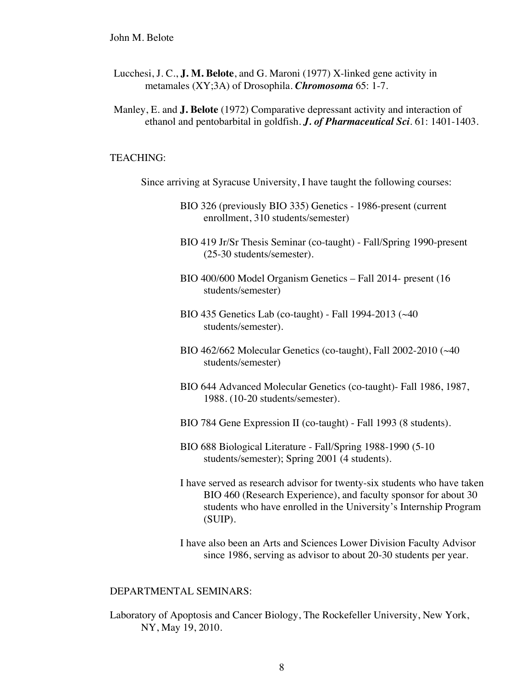- Lucchesi, J. C., **J. M. Belote**, and G. Maroni (1977) X-linked gene activity in metamales (XY;3A) of Drosophila. *Chromosoma* 65: 1-7.
- Manley, E. and **J. Belote** (1972) Comparative depressant activity and interaction of ethanol and pentobarbital in goldfish. *J. of Pharmaceutical Sci*. 61: 1401-1403.

### TEACHING:

Since arriving at Syracuse University, I have taught the following courses:

- BIO 326 (previously BIO 335) Genetics 1986-present (current enrollment, 310 students/semester)
- BIO 419 Jr/Sr Thesis Seminar (co-taught) Fall/Spring 1990-present (25-30 students/semester).
- BIO 400/600 Model Organism Genetics Fall 2014- present (16 students/semester)
- BIO 435 Genetics Lab (co-taught) Fall 1994-2013 (~40 students/semester).
- BIO 462/662 Molecular Genetics (co-taught), Fall 2002-2010 (~40 students/semester)
- BIO 644 Advanced Molecular Genetics (co-taught)- Fall 1986, 1987, 1988. (10-20 students/semester).
- BIO 784 Gene Expression II (co-taught) Fall 1993 (8 students).
- BIO 688 Biological Literature Fall/Spring 1988-1990 (5-10 students/semester); Spring 2001 (4 students).
- I have served as research advisor for twenty-six students who have taken BIO 460 (Research Experience), and faculty sponsor for about 30 students who have enrolled in the University's Internship Program (SUIP).
- I have also been an Arts and Sciences Lower Division Faculty Advisor since 1986, serving as advisor to about 20-30 students per year.

#### DEPARTMENTAL SEMINARS:

Laboratory of Apoptosis and Cancer Biology, The Rockefeller University, New York, NY, May 19, 2010.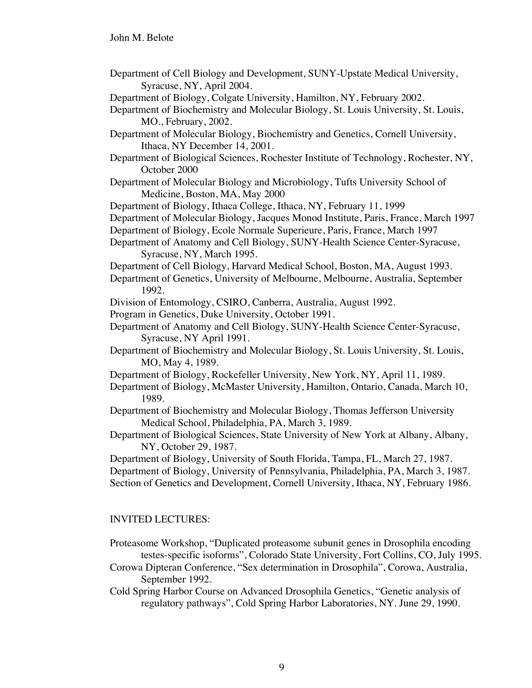- Department of Cell Biology and Development, SUNY-Upstate Medical University, Syracuse, NY, April 2004.
- Department of Biology, Colgate University, Hamilton, NY, February 2002.
- Department of Biochemistry and Molecular Biology, St. Louis University, St. Louis, MO., February, 2002.
- Department of Molecular Biology, Biochemistry and Genetics, Cornell University, Ithaca, NY December 14, 2001.
- Department of Biological Sciences, Rochester Institute of Technology, Rochester, NY, October 2000
- Department of Molecular Biology and Microbiology, Tufts University School of Medicine, Boston, MA, May 2000

Department of Biology, Ithaca College, Ithaca, NY, February 11, 1999

- Department of Molecular Biology, Jacques Monod Institute, Paris, France, March 1997
- Department of Biology, Ecole Normale Superieure, Paris, France, March 1997

Department of Anatomy and Cell Biology, SUNY-Health Science Center-Syracuse, Syracuse, NY, March 1995.

- Department of Cell Biology, Harvard Medical School, Boston, MA, August 1993.
- Department of Genetics, University of Melbourne, Melbourne, Australia, September 1992.
- Division of Entomology, CSIRO, Canberra, Australia, August 1992.
- Program in Genetics, Duke University, October 1991.
- Department of Anatomy and Cell Biology, SUNY-Health Science Center-Syracuse, Syracuse, NY April 1991.
- Department of Biochemistry and Molecular Biology, St. Louis University, St. Louis, MO, May 4, 1989.
- Department of Biology, Rockefeller University, New York, NY, April 11, 1989.
- Department of Biology, McMaster University, Hamilton, Ontario, Canada, March 10, 1989.
- Department of Biochemistry and Molecular Biology, Thomas Jefferson University Medical School, Philadelphia, PA, March 3, 1989.
- Department of Biological Sciences, State University of New York at Albany, Albany, NY, October 29, 1987.

Department of Biology, University of South Florida, Tampa, FL, March 27, 1987. Department of Biology, University of Pennsylvania, Philadelphia, PA, March 3, 1987. Section of Genetics and Development, Cornell University, Ithaca, NY, February 1986.

# INVITED LECTURES:

- Proteasome Workshop, "Duplicated proteasome subunit genes in Drosophila encoding testes-specific isoforms", Colorado State University, Fort Collins, CO, July 1995.
- Corowa Dipteran Conference, "Sex determination in Drosophila", Corowa, Australia, September 1992.
- Cold Spring Harbor Course on Advanced Drosophila Genetics, "Genetic analysis of regulatory pathways", Cold Spring Harbor Laboratories, NY. June 29, 1990.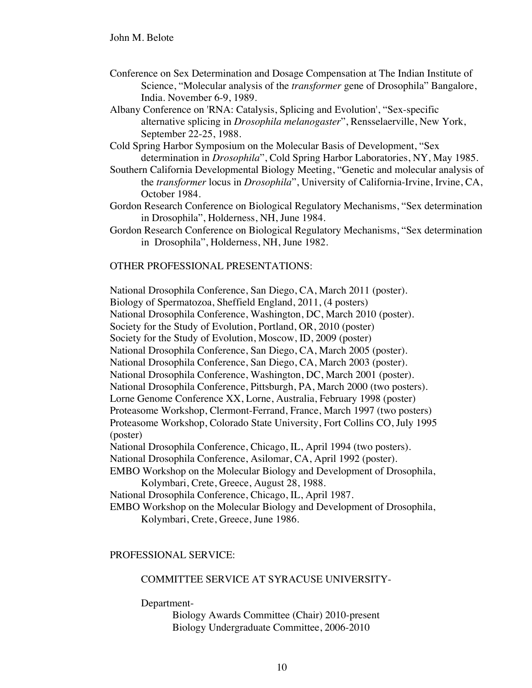- Conference on Sex Determination and Dosage Compensation at The Indian Institute of Science, "Molecular analysis of the *transformer* gene of Drosophila" Bangalore, India. November 6-9, 1989.
- Albany Conference on 'RNA: Catalysis, Splicing and Evolution', "Sex-specific alternative splicing in *Drosophila melanogaster*", Rensselaerville, New York, September 22-25, 1988.
- Cold Spring Harbor Symposium on the Molecular Basis of Development, "Sex determination in *Drosophila*", Cold Spring Harbor Laboratories, NY, May 1985.
- Southern California Developmental Biology Meeting, "Genetic and molecular analysis of the *transformer* locus in *Drosophila*", University of California-Irvine, Irvine, CA, October 1984.
- Gordon Research Conference on Biological Regulatory Mechanisms, "Sex determination in Drosophila", Holderness, NH, June 1984.
- Gordon Research Conference on Biological Regulatory Mechanisms, "Sex determination in Drosophila", Holderness, NH, June 1982.

### OTHER PROFESSIONAL PRESENTATIONS:

National Drosophila Conference, San Diego, CA, March 2011 (poster).

Biology of Spermatozoa, Sheffield England, 2011, (4 posters)

National Drosophila Conference, Washington, DC, March 2010 (poster).

Society for the Study of Evolution, Portland, OR, 2010 (poster)

Society for the Study of Evolution, Moscow, ID, 2009 (poster)

National Drosophila Conference, San Diego, CA, March 2005 (poster).

National Drosophila Conference, San Diego, CA, March 2003 (poster).

National Drosophila Conference, Washington, DC, March 2001 (poster).

National Drosophila Conference, Pittsburgh, PA, March 2000 (two posters).

Lorne Genome Conference XX, Lorne, Australia, February 1998 (poster)

Proteasome Workshop, Clermont-Ferrand, France, March 1997 (two posters)

Proteasome Workshop, Colorado State University, Fort Collins CO, July 1995 (poster)

National Drosophila Conference, Chicago, IL, April 1994 (two posters).

National Drosophila Conference, Asilomar, CA, April 1992 (poster).

EMBO Workshop on the Molecular Biology and Development of Drosophila, Kolymbari, Crete, Greece, August 28, 1988.

National Drosophila Conference, Chicago, IL, April 1987.

EMBO Workshop on the Molecular Biology and Development of Drosophila, Kolymbari, Crete, Greece, June 1986.

## PROFESSIONAL SERVICE:

### COMMITTEE SERVICE AT SYRACUSE UNIVERSITY-

Department-

Biology Awards Committee (Chair) 2010-present Biology Undergraduate Committee, 2006-2010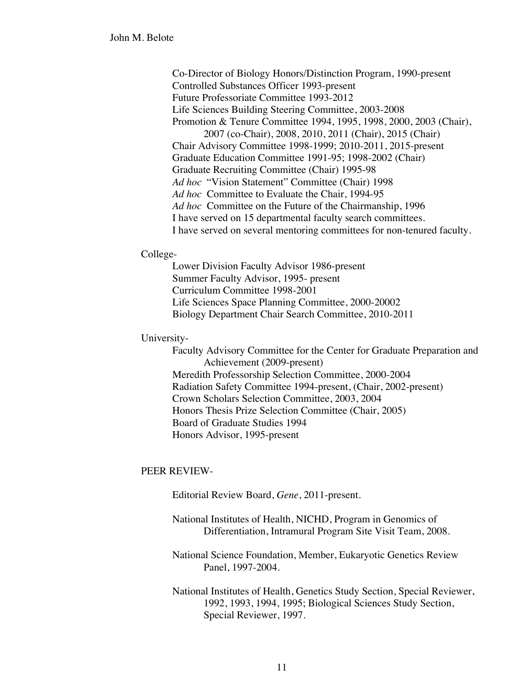Co-Director of Biology Honors/Distinction Program, 1990-present Controlled Substances Officer 1993-present Future Professoriate Committee 1993-2012 Life Sciences Building Steering Committee, 2003-2008 Promotion & Tenure Committee 1994, 1995, 1998, 2000, 2003 (Chair), 2007 (co-Chair), 2008, 2010, 2011 (Chair), 2015 (Chair) Chair Advisory Committee 1998-1999; 2010-2011, 2015-present Graduate Education Committee 1991-95; 1998-2002 (Chair) Graduate Recruiting Committee (Chair) 1995-98 *Ad hoc* "Vision Statement" Committee (Chair) 1998 *Ad hoc* Committee to Evaluate the Chair, 1994-95 *Ad hoc* Committee on the Future of the Chairmanship, 1996 I have served on 15 departmental faculty search committees. I have served on several mentoring committees for non-tenured faculty.

### College-

Lower Division Faculty Advisor 1986-present Summer Faculty Advisor, 1995- present Curriculum Committee 1998-2001 Life Sciences Space Planning Committee, 2000-20002 Biology Department Chair Search Committee, 2010-2011

### University-

Faculty Advisory Committee for the Center for Graduate Preparation and Achievement (2009-present) Meredith Professorship Selection Committee, 2000-2004 Radiation Safety Committee 1994-present, (Chair, 2002-present) Crown Scholars Selection Committee, 2003, 2004 Honors Thesis Prize Selection Committee (Chair, 2005) Board of Graduate Studies 1994 Honors Advisor, 1995-present

## PEER REVIEW-

Editorial Review Board, *Gene*, 2011-present.

National Institutes of Health, NICHD, Program in Genomics of Differentiation, Intramural Program Site Visit Team, 2008.

National Science Foundation, Member, Eukaryotic Genetics Review Panel, 1997-2004.

National Institutes of Health, Genetics Study Section, Special Reviewer, 1992, 1993, 1994, 1995; Biological Sciences Study Section, Special Reviewer, 1997.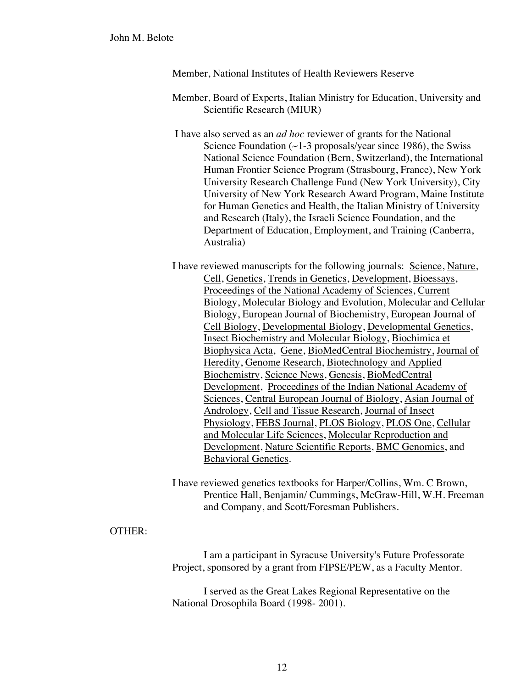Member, National Institutes of Health Reviewers Reserve

Member, Board of Experts, Italian Ministry for Education, University and Scientific Research (MIUR)

I have also served as an *ad hoc* reviewer of grants for the National Science Foundation  $(\sim 1-3$  proposals/year since 1986), the Swiss National Science Foundation (Bern, Switzerland), the International Human Frontier Science Program (Strasbourg, France), New York University Research Challenge Fund (New York University), City University of New York Research Award Program, Maine Institute for Human Genetics and Health, the Italian Ministry of University and Research (Italy), the Israeli Science Foundation, and the Department of Education, Employment, and Training (Canberra, Australia)

I have reviewed manuscripts for the following journals: Science, Nature, Cell, Genetics, Trends in Genetics, Development, Bioessays, Proceedings of the National Academy of Sciences, Current Biology, Molecular Biology and Evolution, Molecular and Cellular Biology, European Journal of Biochemistry, European Journal of Cell Biology, Developmental Biology, Developmental Genetics, Insect Biochemistry and Molecular Biology, Biochimica et Biophysica Acta, Gene, BioMedCentral Biochemistry, Journal of Heredity, Genome Research, Biotechnology and Applied Biochemistry, Science News, Genesis, BioMedCentral Development, Proceedings of the Indian National Academy of Sciences, Central European Journal of Biology, Asian Journal of Andrology, Cell and Tissue Research, Journal of Insect Physiology, FEBS Journal, PLOS Biology, PLOS One, Cellular and Molecular Life Sciences, Molecular Reproduction and Development, Nature Scientific Reports, BMC Genomics, and Behavioral Genetics.

I have reviewed genetics textbooks for Harper/Collins, Wm. C Brown, Prentice Hall, Benjamin/ Cummings, McGraw-Hill, W.H. Freeman and Company, and Scott/Foresman Publishers.

## OTHER:

I am a participant in Syracuse University's Future Professorate Project, sponsored by a grant from FIPSE/PEW, as a Faculty Mentor.

I served as the Great Lakes Regional Representative on the National Drosophila Board (1998- 2001).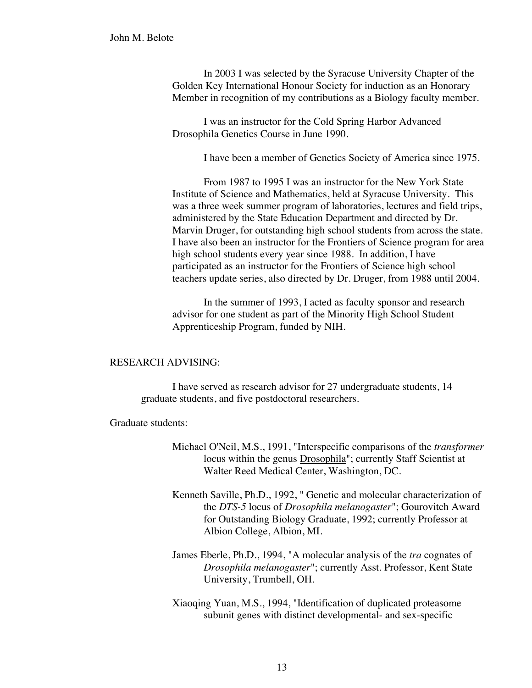In 2003 I was selected by the Syracuse University Chapter of the Golden Key International Honour Society for induction as an Honorary Member in recognition of my contributions as a Biology faculty member.

I was an instructor for the Cold Spring Harbor Advanced Drosophila Genetics Course in June 1990.

I have been a member of Genetics Society of America since 1975.

From 1987 to 1995 I was an instructor for the New York State Institute of Science and Mathematics, held at Syracuse University. This was a three week summer program of laboratories, lectures and field trips, administered by the State Education Department and directed by Dr. Marvin Druger, for outstanding high school students from across the state. I have also been an instructor for the Frontiers of Science program for area high school students every year since 1988. In addition, I have participated as an instructor for the Frontiers of Science high school teachers update series, also directed by Dr. Druger, from 1988 until 2004.

In the summer of 1993, I acted as faculty sponsor and research advisor for one student as part of the Minority High School Student Apprenticeship Program, funded by NIH.

#### RESEARCH ADVISING:

I have served as research advisor for 27 undergraduate students, 14 graduate students, and five postdoctoral researchers.

#### Graduate students:

- Michael O'Neil, M.S., 1991, "Interspecific comparisons of the *transformer* locus within the genus Drosophila"; currently Staff Scientist at Walter Reed Medical Center, Washington, DC.
- Kenneth Saville, Ph.D., 1992, " Genetic and molecular characterization of the *DTS-5* locus of *Drosophila melanogaster*"; Gourovitch Award for Outstanding Biology Graduate, 1992; currently Professor at Albion College, Albion, MI.
- James Eberle, Ph.D., 1994, "A molecular analysis of the *tra* cognates of *Drosophila melanogaster*"; currently Asst. Professor, Kent State University, Trumbell, OH.
- Xiaoqing Yuan, M.S., 1994, "Identification of duplicated proteasome subunit genes with distinct developmental- and sex-specific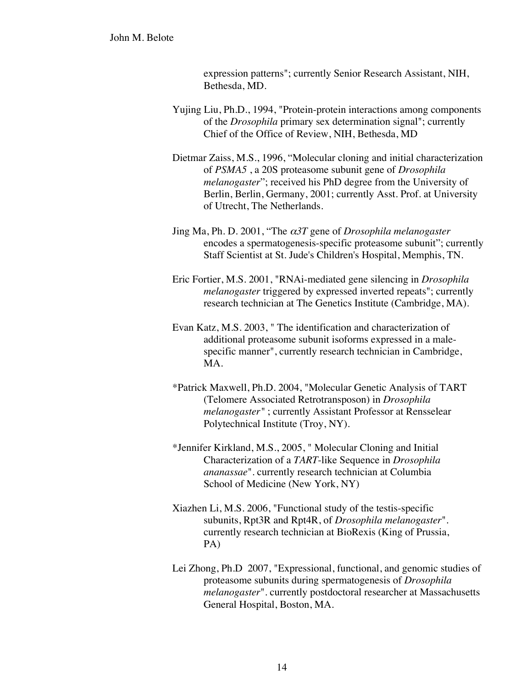expression patterns"; currently Senior Research Assistant, NIH, Bethesda, MD.

- Yujing Liu, Ph.D., 1994, "Protein-protein interactions among components of the *Drosophila* primary sex determination signal"; currently Chief of the Office of Review, NIH, Bethesda, MD
- Dietmar Zaiss, M.S., 1996, "Molecular cloning and initial characterization of *PSMA5* , a 20S proteasome subunit gene of *Drosophila melanogaster*"; received his PhD degree from the University of Berlin, Berlin, Germany, 2001; currently Asst. Prof. at University of Utrecht, The Netherlands.
- Jing Ma, Ph. D. 2001, "The α*3T* gene of *Drosophila melanogaster* encodes a spermatogenesis-specific proteasome subunit"; currently Staff Scientist at St. Jude's Children's Hospital, Memphis, TN.
- Eric Fortier, M.S. 2001, "RNAi-mediated gene silencing in *Drosophila melanogaster* triggered by expressed inverted repeats"; currently research technician at The Genetics Institute (Cambridge, MA).
- Evan Katz, M.S. 2003, " The identification and characterization of additional proteasome subunit isoforms expressed in a malespecific manner", currently research technician in Cambridge, MA.
- \*Patrick Maxwell, Ph.D. 2004, "Molecular Genetic Analysis of TART (Telomere Associated Retrotransposon) in *Drosophila melanogaster"* ; currently Assistant Professor at Rensselear Polytechnical Institute (Troy, NY).
- \*Jennifer Kirkland, M.S., 2005, " Molecular Cloning and Initial Characterization of a *TART*-like Sequence in *Drosophila ananassae*". currently research technician at Columbia School of Medicine (New York, NY)
- Xiazhen Li, M.S. 2006, "Functional study of the testis-specific subunits, Rpt3R and Rpt4R, of *Drosophila melanogaster*". currently research technician at BioRexis (King of Prussia, PA)
- Lei Zhong, Ph.D 2007, "Expressional, functional, and genomic studies of proteasome subunits during spermatogenesis of *Drosophila melanogaster*". currently postdoctoral researcher at Massachusetts General Hospital, Boston, MA.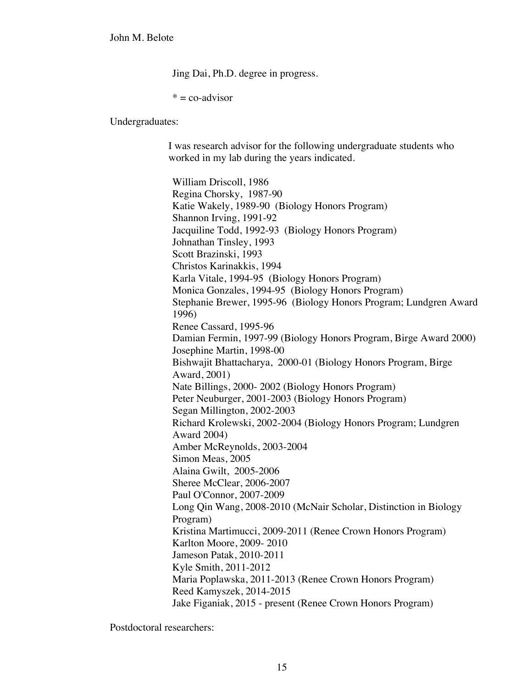Jing Dai, Ph.D. degree in progress.

 $* = \text{co-advisor}$ 

Undergraduates:

I was research advisor for the following undergraduate students who worked in my lab during the years indicated.

William Driscoll, 1986 Regina Chorsky, 1987-90 Katie Wakely, 1989-90 (Biology Honors Program) Shannon Irving, 1991-92 Jacquiline Todd, 1992-93 (Biology Honors Program) Johnathan Tinsley, 1993 Scott Brazinski, 1993 Christos Karinakkis, 1994 Karla Vitale, 1994-95 (Biology Honors Program) Monica Gonzales, 1994-95 (Biology Honors Program) Stephanie Brewer, 1995-96 (Biology Honors Program; Lundgren Award 1996) Renee Cassard, 1995-96 Damian Fermin, 1997-99 (Biology Honors Program, Birge Award 2000) Josephine Martin, 1998-00 Bishwajit Bhattacharya, 2000-01 (Biology Honors Program, Birge Award, 2001) Nate Billings, 2000- 2002 (Biology Honors Program) Peter Neuburger, 2001-2003 (Biology Honors Program) Segan Millington, 2002-2003 Richard Krolewski, 2002-2004 (Biology Honors Program; Lundgren Award 2004) Amber McReynolds, 2003-2004 Simon Meas, 2005 Alaina Gwilt, 2005-2006 Sheree McClear, 2006-2007 Paul O'Connor, 2007-2009 Long Qin Wang, 2008-2010 (McNair Scholar, Distinction in Biology Program) Kristina Martimucci, 2009-2011 (Renee Crown Honors Program) Karlton Moore, 2009- 2010 Jameson Patak, 2010-2011 Kyle Smith, 2011-2012 Maria Poplawska, 2011-2013 (Renee Crown Honors Program) Reed Kamyszek, 2014-2015 Jake Figaniak, 2015 - present (Renee Crown Honors Program)

Postdoctoral researchers: